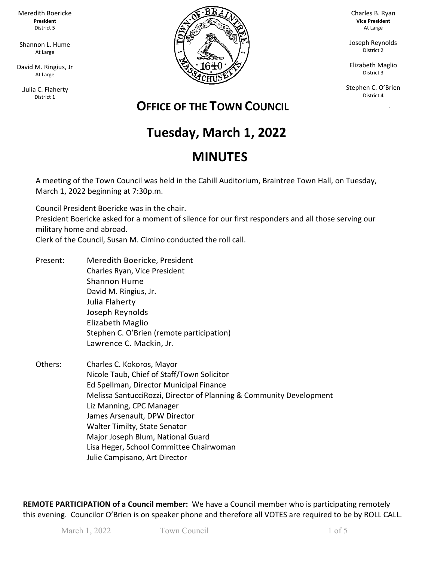Meredith Boericke **President** District 5

Shannon L. Hume At Large

David M. Ringius, Jr At Large

.Julia C. Flaherty District 1



Charles B. Ryan **Vice President** At Large

Joseph Reynolds District 2

Elizabeth Maglio District 3

Stephen C. O'Brien District 4

ka Pangka

# **OFFICE OF THE TOWN COUNCIL**

# **Tuesday, March 1, 2022**

# **MINUTES**

A meeting of the Town Council was held in the Cahill Auditorium, Braintree Town Hall, on Tuesday, March 1, 2022 beginning at 7:30p.m.

Council President Boericke was in the chair. President Boericke asked for a moment of silence for our first responders and all those serving our military home and abroad.

Clerk of the Council, Susan M. Cimino conducted the roll call.

- Present: Meredith Boericke, President Charles Ryan, Vice President Shannon Hume David M. Ringius, Jr. Julia Flaherty Joseph Reynolds Elizabeth Maglio Stephen C. O'Brien (remote participation) Lawrence C. Mackin, Jr.
- Others: Charles C. Kokoros, Mayor Nicole Taub, Chief of Staff/Town Solicitor Ed Spellman, Director Municipal Finance Melissa SantucciRozzi, Director of Planning & Community Development Liz Manning, CPC Manager James Arsenault, DPW Director Walter Timilty, State Senator Major Joseph Blum, National Guard Lisa Heger, School Committee Chairwoman Julie Campisano, Art Director

**REMOTE PARTICIPATION of a Council member:** We have a Council member who is participating remotely this evening. Councilor O'Brien is on speaker phone and therefore all VOTES are required to be by ROLL CALL.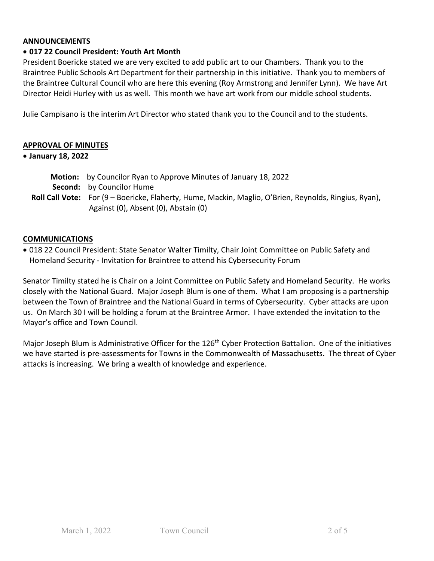#### **ANNOUNCEMENTS**

# • **017 22 Council President: Youth Art Month**

President Boericke stated we are very excited to add public art to our Chambers. Thank you to the Braintree Public Schools Art Department for their partnership in this initiative. Thank you to members of the Braintree Cultural Council who are here this evening (Roy Armstrong and Jennifer Lynn). We have Art Director Heidi Hurley with us as well. This month we have art work from our middle school students.

Julie Campisano is the interim Art Director who stated thank you to the Council and to the students.

#### **APPROVAL OF MINUTES**

#### • **January 18, 2022**

| <b>Motion:</b> by Councilor Ryan to Approve Minutes of January 18, 2022                               |
|-------------------------------------------------------------------------------------------------------|
| <b>Second:</b> by Councilor Hume                                                                      |
| Roll Call Vote: For (9 – Boericke, Flaherty, Hume, Mackin, Maglio, O'Brien, Reynolds, Ringius, Ryan), |
| Against (0), Absent (0), Abstain (0)                                                                  |

#### **COMMUNICATIONS**

• 018 22 Council President: State Senator Walter Timilty, Chair Joint Committee on Public Safety and Homeland Security - Invitation for Braintree to attend his Cybersecurity Forum

Senator Timilty stated he is Chair on a Joint Committee on Public Safety and Homeland Security. He works closely with the National Guard. Major Joseph Blum is one of them. What I am proposing is a partnership between the Town of Braintree and the National Guard in terms of Cybersecurity. Cyber attacks are upon us. On March 30 I will be holding a forum at the Braintree Armor. I have extended the invitation to the Mayor's office and Town Council.

Major Joseph Blum is Administrative Officer for the 126<sup>th</sup> Cyber Protection Battalion. One of the initiatives we have started is pre-assessments for Towns in the Commonwealth of Massachusetts. The threat of Cyber attacks is increasing. We bring a wealth of knowledge and experience.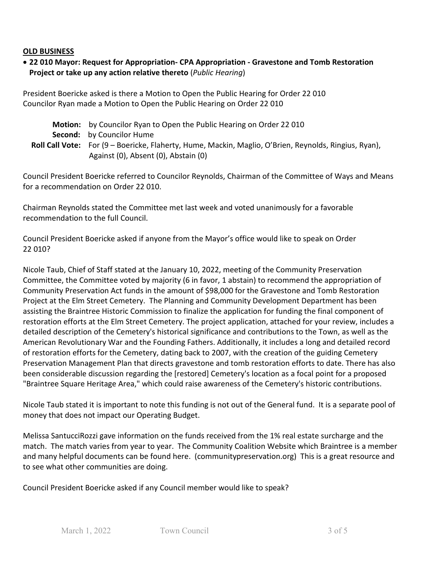#### **OLD BUSINESS**

## • **22 010 Mayor: Request for Appropriation- CPA Appropriation - Gravestone and Tomb Restoration Project or take up any action relative thereto** (*Public Hearing*)

President Boericke asked is there a Motion to Open the Public Hearing for Order 22 010 Councilor Ryan made a Motion to Open the Public Hearing on Order 22 010

| Motion: by Councilor Ryan to Open the Public Hearing on Order 22010                                   |
|-------------------------------------------------------------------------------------------------------|
| <b>Second:</b> by Councilor Hume                                                                      |
| Roll Call Vote: For (9 - Boericke, Flaherty, Hume, Mackin, Maglio, O'Brien, Reynolds, Ringius, Ryan), |
| Against (0), Absent (0), Abstain (0)                                                                  |

Council President Boericke referred to Councilor Reynolds, Chairman of the Committee of Ways and Means for a recommendation on Order 22 010.

Chairman Reynolds stated the Committee met last week and voted unanimously for a favorable recommendation to the full Council.

Council President Boericke asked if anyone from the Mayor's office would like to speak on Order 22 010?

Nicole Taub, Chief of Staff stated at the January 10, 2022, meeting of the Community Preservation Committee, the Committee voted by majority (6 in favor, 1 abstain) to recommend the appropriation of Community Preservation Act funds in the amount of \$98,000 for the Gravestone and Tomb Restoration Project at the Elm Street Cemetery. The Planning and Community Development Department has been assisting the Braintree Historic Commission to finalize the application for funding the final component of restoration efforts at the Elm Street Cemetery. The project application, attached for your review, includes a detailed description of the Cemetery's historical significance and contributions to the Town, as well as the American Revolutionary War and the Founding Fathers. Additionally, it includes a long and detailed record of restoration efforts for the Cemetery, dating back to 2007, with the creation of the guiding Cemetery Preservation Management Plan that directs gravestone and tomb restoration efforts to date. There has also been considerable discussion regarding the [restored] Cemetery's location as a focal point for a proposed "Braintree Square Heritage Area," which could raise awareness of the Cemetery's historic contributions.

Nicole Taub stated it is important to note this funding is not out of the General fund. It is a separate pool of money that does not impact our Operating Budget.

Melissa SantucciRozzi gave information on the funds received from the 1% real estate surcharge and the match. The match varies from year to year. The Community Coalition Website which Braintree is a member and many helpful documents can be found here. (communitypreservation.org) This is a great resource and to see what other communities are doing.

Council President Boericke asked if any Council member would like to speak?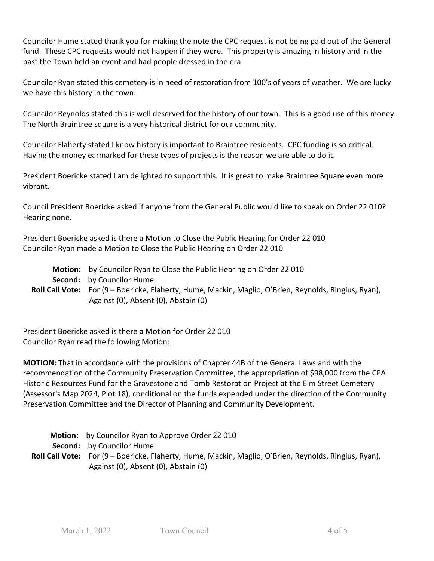Councilor Hume stated thank you for making the note the CPC request is not being paid out of the General fund. These CPC requests would not happen if they were. This property is amazing in history and in the past the Town held an event and had people dressed in the era.

Councilor Ryan stated this cemetery is in need of restoration from 100's of years of weather. We are lucky we have this history in the town.

Councilor Reynolds stated this is well deserved for the history of our town. This is a good use of this money. The North Braintree square is a very historical district for our community.

Councilor Flaherty stated I know history is important to Braintree residents. CPC funding is so critical. Having the money earmarked for these types of projects is the reason we are able to do it.

President Boericke stated I am delighted to support this. It is great to make Braintree Square even more vibrant.

Council President Boericke asked if anyone from the General Public would like to speak on Order 22 010? Hearing none.

President Boericke asked is there a Motion to Close the Public Hearing for Order 22 010 Councilor Ryan made a Motion to Close the Public Hearing on Order 22 010

| Motion: by Councilor Ryan to Close the Public Hearing on Order 22010                                         |
|--------------------------------------------------------------------------------------------------------------|
| <b>Second:</b> by Councilor Hume                                                                             |
| <b>Roll Call Vote:</b> For (9 – Boericke, Flaherty, Hume, Mackin, Maglio, O'Brien, Reynolds, Ringius, Ryan), |
| Against (0), Absent (0), Abstain (0)                                                                         |

President Boericke asked is there a Motion for Order 22 010 Councilor Ryan read the following Motion:

**MOTION:** That in accordance with the provisions of Chapter 44B of the General Laws and with the recommendation of the Community Preservation Committee, the appropriation of \$98,000 from the CPA Historic Resources Fund for the Gravestone and Tomb Restoration Project at the Elm Street Cemetery (Assessor's Map 2024, Plot 18), conditional on the funds expended under the direction of the Community Preservation Committee and the Director of Planning and Community Development.

| <b>Motion:</b> by Councilor Ryan to Approve Order 22010                                               |
|-------------------------------------------------------------------------------------------------------|
| <b>Second:</b> by Councilor Hume                                                                      |
| Roll Call Vote: For (9 - Boericke, Flaherty, Hume, Mackin, Maglio, O'Brien, Reynolds, Ringius, Ryan), |
| Against (0), Absent (0), Abstain (0)                                                                  |